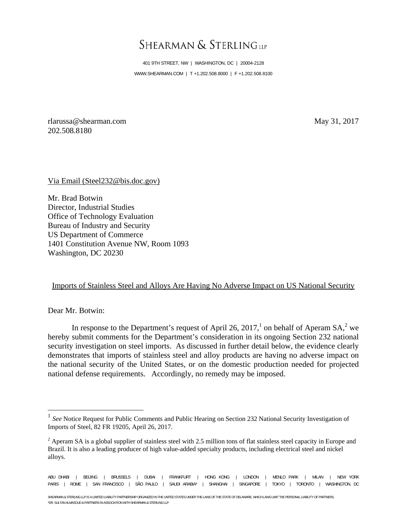# SHEARMAN & STERLINGUP

401 9TH STREET, NW | WASHINGTON, DC | 20004-2128 WWW.SHEARMAN.COM | T +1.202.508.8000 | F +1.202.508.8100

rlarussa@shearman.com 202.508.8180

May 31, 2017

Via Email (Steel232@bis.doc.gov)

Mr. Brad Botwin Director, Industrial Studies Office of Technology Evaluation Bureau of Industry and Security US Department of Commerce 1401 Constitution Avenue NW, Room 1093 Washington, DC 20230

## Imports of Stainless Steel and Alloys Are Having No Adverse Impact on US National Security

Dear Mr. Botwin:

<u>.</u>

In response to the Department's request of April 26, 2017,<sup>1</sup> on behalf of Aperam  $SA<sup>2</sup>$  we hereby submit comments for the Department's consideration in its ongoing Section 232 national security investigation on steel imports. As discussed in further detail below, the evidence clearly demonstrates that imports of stainless steel and alloy products are having no adverse impact on the national security of the United States, or on the domestic production needed for projected national defense requirements. Accordingly, no remedy may be imposed.

<sup>&</sup>lt;sup>1</sup> See Notice Request for Public Comments and Public Hearing on Section 232 National Security Investigation of Imports of Steel, 82 FR 19205, April 26, 2017.

 $2$  Aperam SA is a global supplier of stainless steel with 2.5 million tons of flat stainless steel capacity in Europe and Brazil. It is also a leading producer of high value-added specialty products, including electrical steel and nickel alloys.

ABU DHABI | BEIJING | BRUSSELS | DUBAI | FRANKFURT | HONG KONG | LONDON | MENLO PARK | MILAN | NEW YORK PARIS | ROME | SAN FRANCISCO | SÃO PAULO | SAUDI ARABIA\* | SHANGHAI | SINGAPORE | TOKYO | TORONTO | WASHINGTON, DC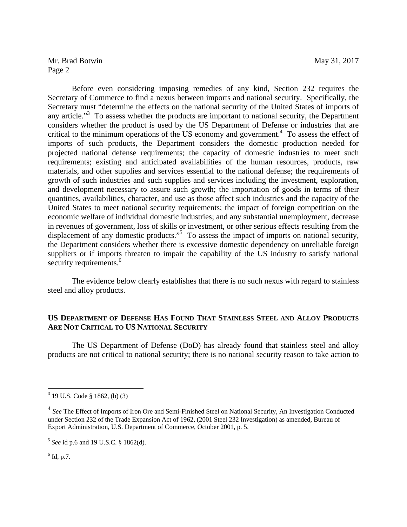Before even considering imposing remedies of any kind, Section 232 requires the Secretary of Commerce to find a nexus between imports and national security. Specifically, the Secretary must "determine the effects on the national security of the United States of imports of any article."<sup>3</sup> To assess whether the products are important to national security, the Department considers whether the product is used by the US Department of Defense or industries that are critical to the minimum operations of the US economy and government.<sup>4</sup> To assess the effect of imports of such products, the Department considers the domestic production needed for projected national defense requirements; the capacity of domestic industries to meet such requirements; existing and anticipated availabilities of the human resources, products, raw materials, and other supplies and services essential to the national defense; the requirements of growth of such industries and such supplies and services including the investment, exploration, and development necessary to assure such growth; the importation of goods in terms of their quantities, availabilities, character, and use as those affect such industries and the capacity of the United States to meet national security requirements; the impact of foreign competition on the economic welfare of individual domestic industries; and any substantial unemployment, decrease in revenues of government, loss of skills or investment, or other serious effects resulting from the displacement of any domestic products."<sup>5</sup> To assess the impact of imports on national security, the Department considers whether there is excessive domestic dependency on unreliable foreign suppliers or if imports threaten to impair the capability of the US industry to satisfy national security requirements.<sup>6</sup>

The evidence below clearly establishes that there is no such nexus with regard to stainless steel and alloy products.

## **US DEPARTMENT OF DEFENSE HAS FOUND THAT STAINLESS STEEL AND ALLOY PRODUCTS ARE NOT CRITICAL TO US NATIONAL SECURITY**

The US Department of Defense (DoD) has already found that stainless steel and alloy products are not critical to national security; there is no national security reason to take action to

 $<sup>6</sup>$  Id, p.7.</sup>

 $\overline{a}$ 

<sup>3</sup> 19 U.S. Code § 1862, (b) (3)

<sup>&</sup>lt;sup>4</sup> See The Effect of Imports of Iron Ore and Semi-Finished Steel on National Security, An Investigation Conducted under Section 232 of the Trade Expansion Act of 1962, (2001 Steel 232 Investigation) as amended, Bureau of Export Administration, U.S. Department of Commerce, October 2001, p. 5.

<sup>5</sup> *See* id p.6 and 19 U.S.C. § 1862(d).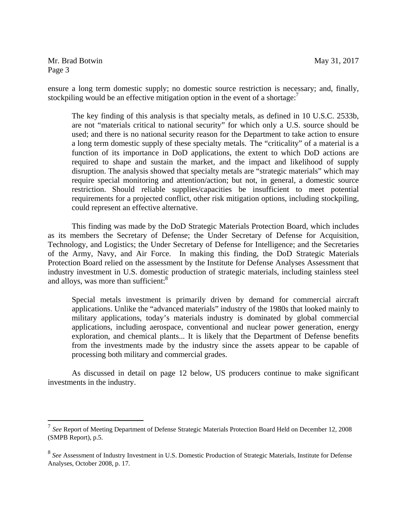$\overline{a}$ 

ensure a long term domestic supply; no domestic source restriction is necessary; and, finally, stockpiling would be an effective mitigation option in the event of a shortage:<sup>7</sup>

The key finding of this analysis is that specialty metals, as defined in 10 U.S.C. 2533b, are not "materials critical to national security" for which only a U.S. source should be used; and there is no national security reason for the Department to take action to ensure a long term domestic supply of these specialty metals. The "criticality" of a material is a function of its importance in DoD applications, the extent to which DoD actions are required to shape and sustain the market, and the impact and likelihood of supply disruption. The analysis showed that specialty metals are "strategic materials" which may require special monitoring and attention/action; but not, in general, a domestic source restriction. Should reliable supplies/capacities be insufficient to meet potential requirements for a projected conflict, other risk mitigation options, including stockpiling, could represent an effective alternative.

This finding was made by the DoD Strategic Materials Protection Board, which includes as its members the Secretary of Defense; the Under Secretary of Defense for Acquisition, Technology, and Logistics; the Under Secretary of Defense for Intelligence; and the Secretaries of the Army, Navy, and Air Force. In making this finding, the DoD Strategic Materials Protection Board relied on the assessment by the Institute for Defense Analyses Assessment that industry investment in U.S. domestic production of strategic materials, including stainless steel and alloys, was more than sufficient:<sup>8</sup>

Special metals investment is primarily driven by demand for commercial aircraft applications. Unlike the "advanced materials" industry of the 1980s that looked mainly to military applications, today's materials industry is dominated by global commercial applications, including aerospace, conventional and nuclear power generation, energy exploration, and chemical plants... It is likely that the Department of Defense benefits from the investments made by the industry since the assets appear to be capable of processing both military and commercial grades.

As discussed in detail on page 12 below, US producers continue to make significant investments in the industry.

<sup>7</sup> *See* Report of Meeting Department of Defense Strategic Materials Protection Board Held on December 12, 2008 (SMPB Report), p.5.

<sup>8</sup> *See* Assessment of Industry Investment in U.S. Domestic Production of Strategic Materials, Institute for Defense Analyses, October 2008, p. 17.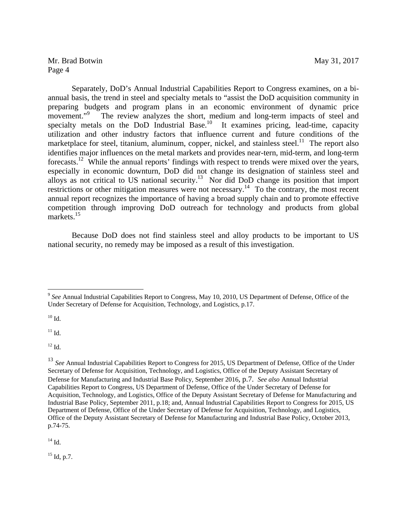Separately, DoD's Annual Industrial Capabilities Report to Congress examines, on a biannual basis, the trend in steel and specialty metals to "assist the DoD acquisition community in preparing budgets and program plans in an economic environment of dynamic price movement."<sup>9</sup> The review analyzes the short, medium and long-term impacts of steel and specialty metals on the DoD Industrial Base.<sup>10</sup> It examines pricing, lead-time, capacity utilization and other industry factors that influence current and future conditions of the marketplace for steel, titanium, aluminum, copper, nickel, and stainless steel.<sup>11</sup> The report also identifies major influences on the metal markets and provides near-tern, mid-term, and long-term forecasts.<sup>12</sup> While the annual reports' findings with respect to trends were mixed over the years, especially in economic downturn, DoD did not change its designation of stainless steel and alloys as not critical to US national security.<sup>13</sup> Nor did DoD change its position that import restrictions or other mitigation measures were not necessary.<sup>14</sup> To the contrary, the most recent annual report recognizes the importance of having a broad supply chain and to promote effective competition through improving DoD outreach for technology and products from global markets. $15$ 

Because DoD does not find stainless steel and alloy products to be important to US national security, no remedy may be imposed as a result of this investigation.

 $10$  Id.

 $\overline{a}$ 

 $11$  Id.

 $12$  Id.

 $14$  Id.

 $^{15}$  Id, p.7.

<sup>&</sup>lt;sup>9</sup> See Annual Industrial Capabilities Report to Congress, May 10, 2010, US Department of Defense, Office of the Under Secretary of Defense for Acquisition, Technology, and Logistics, p.17.

<sup>&</sup>lt;sup>13</sup> See Annual Industrial Capabilities Report to Congress for 2015, US Department of Defense, Office of the Under Secretary of Defense for Acquisition, Technology, and Logistics, Office of the Deputy Assistant Secretary of Defense for Manufacturing and Industrial Base Policy, September 2016, p.7. *See also* Annual Industrial Capabilities Report to Congress, US Department of Defense, Office of the Under Secretary of Defense for Acquisition, Technology, and Logistics, Office of the Deputy Assistant Secretary of Defense for Manufacturing and Industrial Base Policy, September 2011, p.18; and, Annual Industrial Capabilities Report to Congress for 2015, US Department of Defense, Office of the Under Secretary of Defense for Acquisition, Technology, and Logistics, Office of the Deputy Assistant Secretary of Defense for Manufacturing and Industrial Base Policy, October 2013, p.74-75.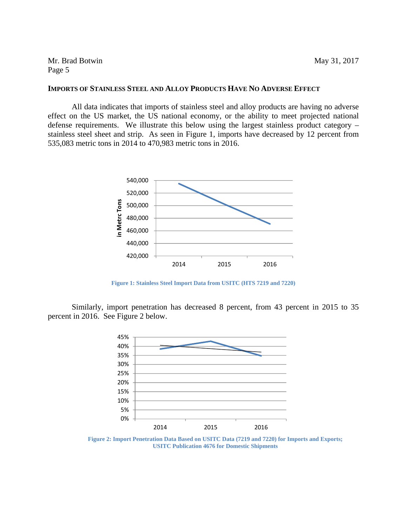#### **IMPORTS OF STAINLESS STEEL AND ALLOY PRODUCTS HAVE NO ADVERSE EFFECT**

All data indicates that imports of stainless steel and alloy products are having no adverse effect on the US market, the US national economy, or the ability to meet projected national defense requirements. We illustrate this below using the largest stainless product category – stainless steel sheet and strip. As seen in Figure 1, imports have decreased by 12 percent from 535,083 metric tons in 2014 to 470,983 metric tons in 2016.



**Figure 1: Stainless Steel Import Data from USITC (HTS 7219 and 7220)** 

Similarly, import penetration has decreased 8 percent, from 43 percent in 2015 to 35 percent in 2016. See Figure 2 below.



**Figure 2: Import Penetration Data Based on USITC Data (7219 and 7220) for Imports and Exports; USITC Publication 4676 for Domestic Shipments**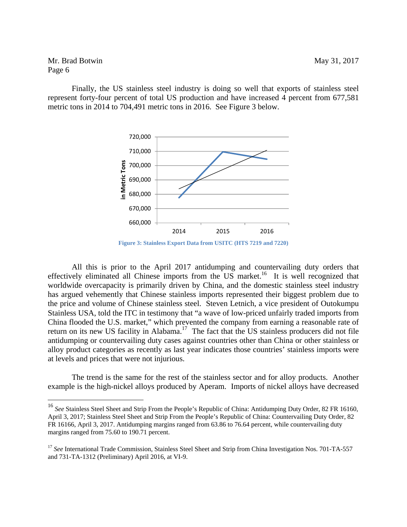$\overline{a}$ 

Finally, the US stainless steel industry is doing so well that exports of stainless steel represent forty-four percent of total US production and have increased 4 percent from 677,581 metric tons in 2014 to 704,491 metric tons in 2016. See Figure 3 below.



**Figure 3: Stainless Export Data from USITC (HTS 7219 and 7220)** 

All this is prior to the April 2017 antidumping and countervailing duty orders that effectively eliminated all Chinese imports from the US market.<sup>16</sup> It is well recognized that worldwide overcapacity is primarily driven by China, and the domestic stainless steel industry has argued vehemently that Chinese stainless imports represented their biggest problem due to the price and volume of Chinese stainless steel. Steven Letnich, a vice president of Outokumpu Stainless USA, told the ITC in testimony that "a wave of low-priced unfairly traded imports from China flooded the U.S. market," which prevented the company from earning a reasonable rate of return on its new US facility in Alabama.<sup>17</sup> The fact that the US stainless producers did not file antidumping or countervailing duty cases against countries other than China or other stainless or alloy product categories as recently as last year indicates those countries' stainless imports were at levels and prices that were not injurious.

The trend is the same for the rest of the stainless sector and for alloy products. Another example is the high-nickel alloys produced by Aperam. Imports of nickel alloys have decreased

<sup>16</sup> *See* Stainless Steel Sheet and Strip From the People's Republic of China: Antidumping Duty Order, 82 FR 16160, April 3, 2017; Stainless Steel Sheet and Strip From the People's Republic of China: Countervailing Duty Order, 82 FR 16166, April 3, 2017. Antidumping margins ranged from 63.86 to 76.64 percent, while countervailing duty margins ranged from 75.60 to 190.71 percent.

<sup>&</sup>lt;sup>17</sup> See International Trade Commission, Stainless Steel Sheet and Strip from China Investigation Nos. 701-TA-557 and 731-TA-1312 (Preliminary) April 2016, at VI-9.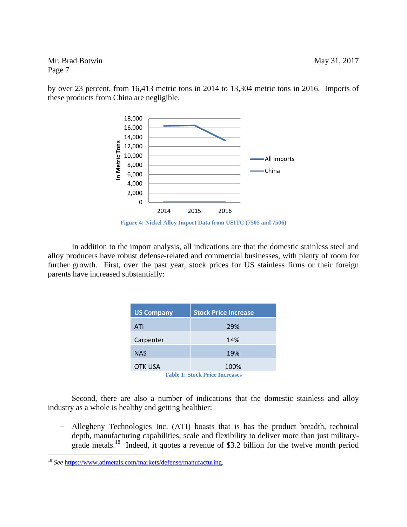by over 23 percent, from 16,413 metric tons in 2014 to 13,304 metric tons in 2016. Imports of these products from China are negligible.



**Figure 4: Nickel Alloy Import Data from USITC (7505 and 7506)** 

In addition to the import analysis, all indications are that the domestic stainless steel and alloy producers have robust defense-related and commercial businesses, with plenty of room for further growth. First, over the past year, stock prices for US stainless firms or their foreign parents have increased substantially:

| <b>US Company</b>                     | <b>Stock Price Increase</b> |
|---------------------------------------|-----------------------------|
| <b>ATI</b>                            | 29%                         |
| Carpenter                             | 14%                         |
| <b>NAS</b>                            | 19%                         |
| OTK USA                               | 100%                        |
| <b>Table 1: Stock Price Increases</b> |                             |

Second, there are also a number of indications that the domestic stainless and alloy industry as a whole is healthy and getting healthier:

 Allegheny Technologies Inc. (ATI) boasts that is has the product breadth, technical depth, manufacturing capabilities, scale and flexibility to deliver more than just militarygrade metals.<sup>18</sup> Indeed, it quotes a revenue of \$3.2 billion for the twelve month period

 $\overline{a}$ 

<sup>18</sup> *See* https://www.atimetals.com/markets/defense/manufacturing.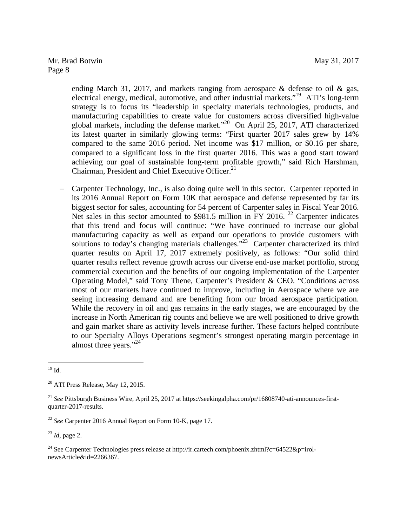ending March 31, 2017, and markets ranging from aerospace  $\&$  defense to oil  $\&$  gas, electrical energy, medical, automotive, and other industrial markets."19 ATI's long-term strategy is to focus its "leadership in specialty materials technologies, products, and manufacturing capabilities to create value for customers across diversified high-value global markets, including the defense market."20 On April 25, 2017, ATI characterized its latest quarter in similarly glowing terms: "First quarter 2017 sales grew by 14% compared to the same 2016 period. Net income was \$17 million, or \$0.16 per share, compared to a significant loss in the first quarter 2016. This was a good start toward achieving our goal of sustainable long-term profitable growth," said Rich Harshman, Chairman, President and Chief Executive Officer.<sup>21</sup>

 Carpenter Technology, Inc., is also doing quite well in this sector. Carpenter reported in its 2016 Annual Report on Form 10K that aerospace and defense represented by far its biggest sector for sales, accounting for 54 percent of Carpenter sales in Fiscal Year 2016. Net sales in this sector amounted to \$981.5 million in FY 2016.<sup>22</sup> Carpenter indicates that this trend and focus will continue: "We have continued to increase our global manufacturing capacity as well as expand our operations to provide customers with solutions to today's changing materials challenges.<sup> $2^{23}$ </sup> Carpenter characterized its third quarter results on April 17, 2017 extremely positively, as follows: "Our solid third quarter results reflect revenue growth across our diverse end-use market portfolio, strong commercial execution and the benefits of our ongoing implementation of the Carpenter Operating Model," said Tony Thene, Carpenter's President & CEO. "Conditions across most of our markets have continued to improve, including in Aerospace where we are seeing increasing demand and are benefiting from our broad aerospace participation. While the recovery in oil and gas remains in the early stages, we are encouraged by the increase in North American rig counts and believe we are well positioned to drive growth and gain market share as activity levels increase further. These factors helped contribute to our Specialty Alloys Operations segment's strongest operating margin percentage in almost three years."<sup>24</sup>

<sup>23</sup> *Id*, page 2.

<sup>24</sup> See Carpenter Technologies press release at http://ir.cartech.com/phoenix.zhtml?c=64522&p=irolnewsArticle&id=2266367.

 $\overline{a}$  $^{19}$  Id.

 $20$  ATI Press Release, May 12, 2015.

<sup>21</sup> *See* Pittsburgh Business Wire, April 25, 2017 at https://seekingalpha.com/pr/16808740-ati-announces-firstquarter-2017-results.

<sup>22</sup> *See* Carpenter 2016 Annual Report on Form 10-K, page 17.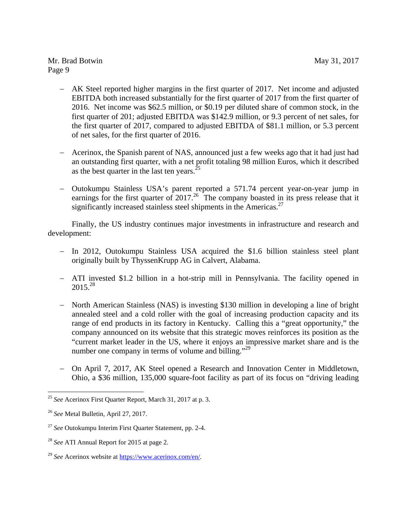- AK Steel reported higher margins in the first quarter of 2017. Net income and adjusted EBITDA both increased substantially for the first quarter of 2017 from the first quarter of 2016. Net income was \$62.5 million, or \$0.19 per diluted share of common stock, in the first quarter of 201; adjusted EBITDA was \$142.9 million, or 9.3 percent of net sales, for the first quarter of 2017, compared to adjusted EBITDA of \$81.1 million, or 5.3 percent of net sales, for the first quarter of 2016.
- Acerinox, the Spanish parent of NAS, announced just a few weeks ago that it had just had an outstanding first quarter, with a net profit totaling 98 million Euros, which it described as the best quarter in the last ten years. $25$
- Outokumpu Stainless USA's parent reported a 571.74 percent year-on-year jump in earnings for the first quarter of  $2017<sup>26</sup>$ . The company boasted in its press release that it significantly increased stainless steel shipments in the Americas.<sup>27</sup>

Finally, the US industry continues major investments in infrastructure and research and development:

- In 2012, Outokumpu Stainless USA acquired the \$1.6 billion stainless steel plant originally built by ThyssenKrupp AG in Calvert, Alabama.
- ATI invested \$1.2 billion in a hot-strip mill in Pennsylvania. The facility opened in  $2015^{28}$
- North American Stainless (NAS) is investing \$130 million in developing a line of bright annealed steel and a cold roller with the goal of increasing production capacity and its range of end products in its factory in Kentucky. Calling this a "great opportunity," the company announced on its website that this strategic moves reinforces its position as the "current market leader in the US, where it enjoys an impressive market share and is the number one company in terms of volume and billing."<sup>29</sup>
- On April 7, 2017, AK Steel opened a Research and Innovation Center in Middletown, Ohio, a \$36 million, 135,000 square-foot facility as part of its focus on "driving leading

 $\overline{a}$ <sup>25</sup> *See* Acerinox First Quarter Report, March 31, 2017 at p. 3.

<sup>26</sup> *See* Metal Bulletin, April 27, 2017.

<sup>27</sup> *See* Outokumpu Interim First Quarter Statement, pp. 2-4.

<sup>28</sup> *See* ATI Annual Report for 2015 at page 2.

<sup>29</sup> *See* Acerinox website at https://www.acerinox.com/en/.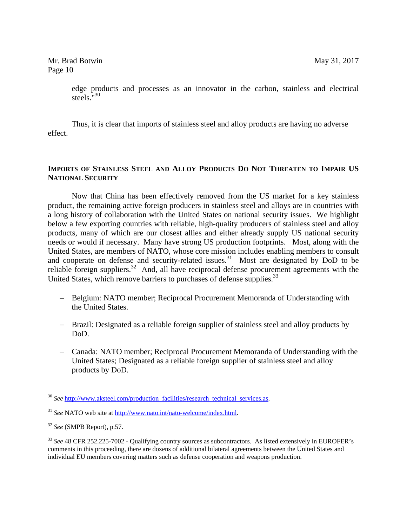edge products and processes as an innovator in the carbon, stainless and electrical steels."<sup>30</sup>

Thus, it is clear that imports of stainless steel and alloy products are having no adverse effect.

## **IMPORTS OF STAINLESS STEEL AND ALLOY PRODUCTS DO NOT THREATEN TO IMPAIR US NATIONAL SECURITY**

Now that China has been effectively removed from the US market for a key stainless product, the remaining active foreign producers in stainless steel and alloys are in countries with a long history of collaboration with the United States on national security issues. We highlight below a few exporting countries with reliable, high-quality producers of stainless steel and alloy products, many of which are our closest allies and either already supply US national security needs or would if necessary. Many have strong US production footprints. Most, along with the United States, are members of NATO, whose core mission includes enabling members to consult and cooperate on defense and security-related issues.<sup>31</sup> Most are designated by DoD to be reliable foreign suppliers.<sup>32</sup> And, all have reciprocal defense procurement agreements with the United States, which remove barriers to purchases of defense supplies.<sup>33</sup>

- Belgium: NATO member; Reciprocal Procurement Memoranda of Understanding with the United States.
- Brazil: Designated as a reliable foreign supplier of stainless steel and alloy products by DoD.
- Canada: NATO member; Reciprocal Procurement Memoranda of Understanding with the United States; Designated as a reliable foreign supplier of stainless steel and alloy products by DoD.

 $\overline{a}$ 

<sup>&</sup>lt;sup>30</sup> See http://www.aksteel.com/production\_facilities/research\_technical\_services.as.

<sup>31</sup> *See* NATO web site at http://www.nato.int/nato-welcome/index.html.

<sup>32</sup> *See* (SMPB Report), p.57.

<sup>&</sup>lt;sup>33</sup> See 48 CFR 252.225-7002 - Qualifying country sources as subcontractors. As listed extensively in EUROFER's comments in this proceeding, there are dozens of additional bilateral agreements between the United States and individual EU members covering matters such as defense cooperation and weapons production.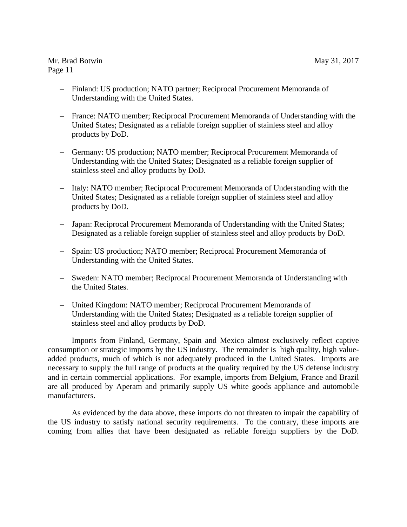- Finland: US production; NATO partner; Reciprocal Procurement Memoranda of Understanding with the United States.
- France: NATO member; Reciprocal Procurement Memoranda of Understanding with the United States; Designated as a reliable foreign supplier of stainless steel and alloy products by DoD.
- Germany: US production; NATO member; Reciprocal Procurement Memoranda of Understanding with the United States; Designated as a reliable foreign supplier of stainless steel and alloy products by DoD.
- Italy: NATO member; Reciprocal Procurement Memoranda of Understanding with the United States; Designated as a reliable foreign supplier of stainless steel and alloy products by DoD.
- Japan: Reciprocal Procurement Memoranda of Understanding with the United States; Designated as a reliable foreign supplier of stainless steel and alloy products by DoD.
- Spain: US production; NATO member; Reciprocal Procurement Memoranda of Understanding with the United States.
- Sweden: NATO member; Reciprocal Procurement Memoranda of Understanding with the United States.
- United Kingdom: NATO member; Reciprocal Procurement Memoranda of Understanding with the United States; Designated as a reliable foreign supplier of stainless steel and alloy products by DoD.

Imports from Finland, Germany, Spain and Mexico almost exclusively reflect captive consumption or strategic imports by the US industry. The remainder is high quality, high valueadded products, much of which is not adequately produced in the United States. Imports are necessary to supply the full range of products at the quality required by the US defense industry and in certain commercial applications. For example, imports from Belgium, France and Brazil are all produced by Aperam and primarily supply US white goods appliance and automobile manufacturers.

As evidenced by the data above, these imports do not threaten to impair the capability of the US industry to satisfy national security requirements. To the contrary, these imports are coming from allies that have been designated as reliable foreign suppliers by the DoD.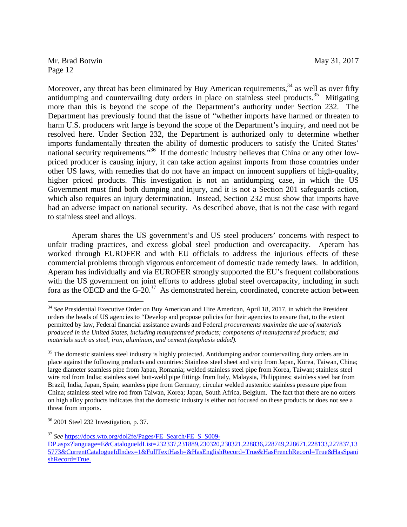$\overline{a}$ 

Moreover, any threat has been eliminated by Buy American requirements,  $34$  as well as over fifty antidumping and countervailing duty orders in place on stainless steel products.<sup>35</sup> Mitigating more than this is beyond the scope of the Department's authority under Section 232. The Department has previously found that the issue of "whether imports have harmed or threaten to harm U.S. producers writ large is beyond the scope of the Department's inquiry, and need not be resolved here. Under Section 232, the Department is authorized only to determine whether imports fundamentally threaten the ability of domestic producers to satisfy the United States' national security requirements."36 If the domestic industry believes that China or any other lowpriced producer is causing injury, it can take action against imports from those countries under other US laws, with remedies that do not have an impact on innocent suppliers of high-quality, higher priced products. This investigation is not an antidumping case, in which the US Government must find both dumping and injury, and it is not a Section 201 safeguards action, which also requires an injury determination. Instead, Section 232 must show that imports have had an adverse impact on national security. As described above, that is not the case with regard to stainless steel and alloys.

Aperam shares the US government's and US steel producers' concerns with respect to unfair trading practices, and excess global steel production and overcapacity. Aperam has worked through EUROFER and with EU officials to address the injurious effects of these commercial problems through vigorous enforcement of domestic trade remedy laws. In addition, Aperam has individually and via EUROFER strongly supported the EU's frequent collaborations with the US government on joint efforts to address global steel overcapacity, including in such fora as the OECD and the  $G-20$ .<sup>37</sup> As demonstrated herein, coordinated, concrete action between

<sup>&</sup>lt;sup>34</sup> See Presidential Executive Order on Buy American and Hire American, April 18, 2017, in which the President orders the heads of US agencies to "Develop and propose policies for their agencies to ensure that, to the extent permitted by law, Federal financial assistance awards and Federal *procurements maximize the use of materials produced in the United States, including manufactured products; components of manufactured products; and materials such as steel, iron, aluminum, and cement.(emphasis added).* 

<sup>&</sup>lt;sup>35</sup> The domestic stainless steel industry is highly protected. Antidumping and/or countervailing duty orders are in place against the following products and countries: Stainless steel sheet and strip from Japan, Korea, Taiwan, China; large diameter seamless pipe from Japan, Romania; welded stainless steel pipe from Korea, Taiwan; stainless steel wire rod from India; stainless steel butt-weld pipe fittings from Italy, Malaysia, Philippines; stainless steel bar from Brazil, India, Japan, Spain; seamless pipe from Germany; circular welded austenitic stainless pressure pipe from China; stainless steel wire rod from Taiwan, Korea; Japan, South Africa, Belgium. The fact that there are no orders on high alloy products indicates that the domestic industry is either not focused on these products or does not see a threat from imports.

 $36$  2001 Steel 232 Investigation, p. 37.

<sup>&</sup>lt;sup>37</sup> See https://docs.wto.org/dol2fe/Pages/FE\_Search/FE\_S\_S009-

DP.aspx?language=E&CatalogueIdList=232337,231889,230320,230321,228836,228749,228671,228133,227837,13 5773&CurrentCatalogueIdIndex=1&FullTextHash=&HasEnglishRecord=True&HasFrenchRecord=True&HasSpani shRecord=True.